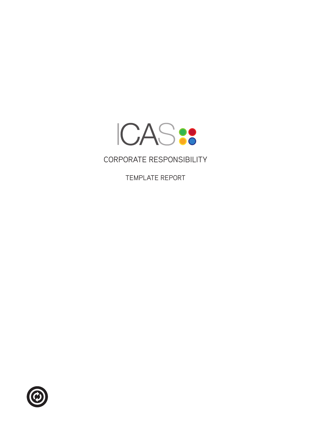

# Corporate Responsibility

Template Report

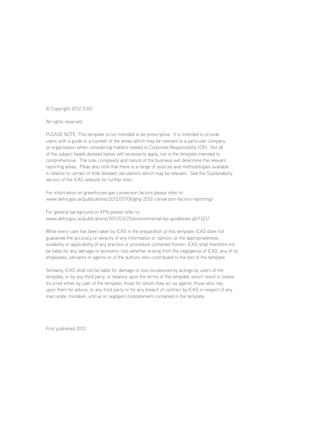#### © Copyright 2012 ICAS

#### All rights reserved

PLEASE NOTE: This template is not intended to be prescriptive. It is intended to provide users with a guide to a number of the areas which may be relevant to a particular company or organisation when considering matters related to Corporate Responsibility (CR). Not all of the subject heads detailed below will necessarily apply, nor is the template intended to comprehensive. The size, complexity and nature of the business will determine the relevant reporting areas. Pleas also note that there is a range of sources and methodologies available in relation to certain of thde detailed calculations which may be relevant. See the Sustainability section of the ICAS website for further links.

For information on greenhouse gas conversion factors please refer to: www.defra.gov.uk/publications/2012/07/06/ghg-2012-conversion-factors-reporting/

For general background on KPIs please refer to: www.defra.gov.uk/publications/2011/03/25/environmental-kpi-guidelines-pb11321/

While every care has been taken by ICAS in the preparation of this template, ICAS does not guarantee the accuracy or veracity of any information or opinion, or the appropriateness, suitability or applicability of any practice or procedure contained therein. ICAS shall therefore not be liable for any damage or economic loss whether arising from the negligence of ICAS, any of its employees, servants or agents or of the authors who contributed to the text of the template.

Similarly, ICAS shall not be liable for damage or loss occasioned by actings by users of the template, or by any third party, in reliance upon the terms of the template, which result in losses incurred either by user of the template, those for whom they act as agents, those who rely upon them for advice, or any third party or for any breach of contract by ICAS in respect of any inaccurate, mistaken, untrue or negligent misstatement contained in the template.

First published 2012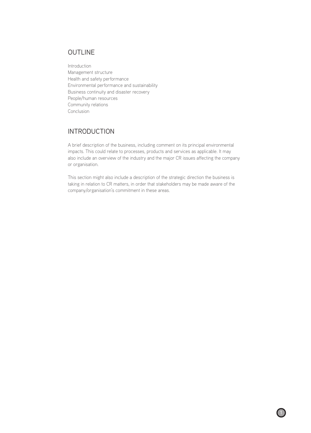#### **OUTLINE**

Introduction Management structure Health and safety performance Environmental performance and sustainability Business continuity and disaster recovery People/human resources Community relations **Conclusion** 

## Introduction

A brief description of the business, including comment on its principal environmental impacts. This could relate to processes, products and services as applicable. It may also include an overview of the industry and the major CR issues affecting the company or organisation.

This section might also include a description of the strategic direction the business is taking in relation to CR matters, in order that stakeholders may be made aware of the company/organisation's commitment in these areas.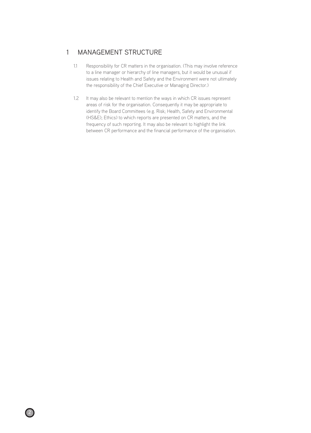### 1 Management Structure

- 1.1 Responsibility for CR matters in the organisation. (This may involve reference to a line manager or hierarchy of line managers, but it would be unusual if issues relating to Health and Safety and the Environment were not ultimately the responsibility of the Chief Executive or Managing Director.)
- 1.2 It may also be relevant to mention the ways in which CR issues represent areas of risk for the organisation. Consequently it may be appropriate to identify the Board Committees (e.g. Risk; Health, Safety and Environmental (HS&E); Ethics) to which reports are presented on CR matters, and the frequency of such reporting. It may also be relevant to highlight the link between CR performance and the financial performance of the organisation.

 $2$  )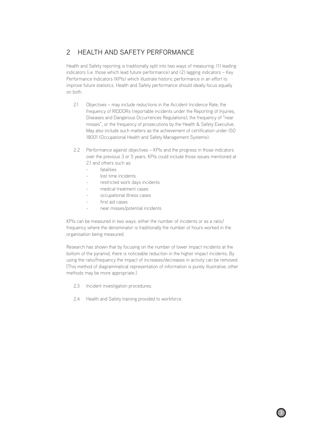# 2 Health and Safety Performance

Health and Safety reporting is traditionally split into two ways of measuring: (1) leading indicators (i.e. those which lead future performance) and (2) lagging indicators – Key Performance Indicators (KPIs) which illustrate historic performance in an effort to improve future statistics. Health and Safety performance should ideally focus equally on both.

- 2.1 Objectives may include reductions in the Accident Incidence Rate, the frequency of RIDDORs (reportable incidents under the Reporting of Injuries, Diseases and Dangerous Occurrences Regulations), the frequency of "near misses", or the frequency of prosecutions by the Health & Safety Executive. May also include such matters as the achievement of certification under ISO 18001 (Occupational Health and Safety Management Systems).
- 2.2 Performance against objectives KPIs and the progress in those indicators over the previous 3 or 5 years. KPIs could include those issues mentioned at 2.1 and others such as:
	- fatalities
	- lost time incidents
	- restricted work days incidents
	- medical treatment cases
	- occupational illness cases
	- first aid cases
	- near misses/potential incidents

KPIs can be measured in two ways: either the number of incidents or as a ratio/ frequency where the denominator is traditionally the number of hours worked in the organisation being measured.

Research has shown that by focusing on the number of lower impact incidents at the bottom of the pyramid, there is noticeable reduction in the higher impact incidents. By using the ratio/frequency the impact of increases/decreases in activity can be removed. [This method of diagrammatical representation of information is purely illustrative; other methods may be more appropriate.]

2.3 Incident investigation procedures.

 $\overline{2}$  3

2.4 Health and Safety training provided to workforce.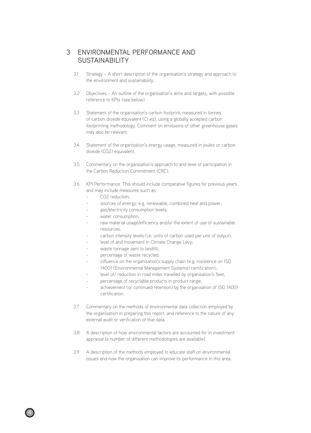#### 3 Environmental Performance and **SUSTAINABILITY**

- 3.1 Strategy A short description of the organisation's strategy and approach to the environment and sustainability.
- 3.2 Objectives An outline of the organisation's aims and targets, with possible reference to KPIs (see below).
- 3.3 Statement of the organisation's carbon footprint, measured in tonnes of carbon dioxide equivalent (Ct eq), using a globally accepted carbon footprinting methodology. Comment on emissions of other greenhouse gases may also be relevant.
- 3.4 Statement of the organisation's energy usage, measured in joules or carbon dioxide (CO2) equivalent.
- 3.5 Commentary on the organisation's approach to and level of participation in the Carbon Reduction Commitment (CRC).
- 3.6 KPI Performance. This should include comparative figures for previous years and may include measures such as:
	- CO2 reduction:
	- sources of energy; e.g. renewable, combined heat and power;
	- gas/electricity consumption levels;
	- water consumption;
	- raw material usage/efficiency and/or the extent of use of sustainable resources;
	- carbon intensity levels (i.e. units of carbon used per unit of output);
	- level of and movement in Climate Change Levy;
	- waste tonnage sent to landfill;
	- percentage of waste recycled;
	- influence on the organisation's supply chain (e.g. insistence on ISO 14001 (Environmental Management Systems) certification);
	- level of/ reduction in road miles travelled by organisation's fleet;
	- percentage of recyclable products in product range;
	- achievement (or continued retention) by the organisation of ISO 14001 certification.
- 3.7 Commentary on the methods of environmental data collection employed by the organisation in preparing this report, and reference to the nature of any external audit or verification of that data.
- 3.8 A description of how environmental factors are accounted for in investment appraisal [a number of different methodologies are available].
- 3.9 A description of the methods employed to educate staff on environmental issues and how the organisation can improve its performance in this area.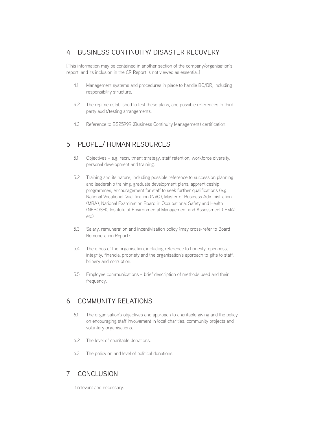#### 4 Business Continuity/ Disaster Recovery

[This information may be contained in another section of the company/organisation's report, and its inclusion in the CR Report is not viewed as essential.]

- 4.1 Management systems and procedures in place to handle BC/DR, including responsibility structure.
- 4.2 The regime established to test these plans, and possible references to third party audit/testing arrangements.
- 4.3 Reference to BS25999 (Business Continuity Management) certification.

# 5 People/ Human Resources

- 5.1 Objectives e.g. recruitment strategy, staff retention, workforce diversity, personal development and training.
- 5.2 Training and its nature, including possible reference to succession planning and leadership training, graduate development plans, apprenticeship programmes, encouragement for staff to seek further qualifications (e.g. National Vocational Qualification (NVQ), Master of Business Administration (MBA), National Examination Board in Occupational Safety and Health (NEBOSH), Institute of Environmental Management and Assessment (IEMA), etc).
- 5.3 Salary, remuneration and incentivisation policy (may cross-refer to Board Remuneration Report).
- 5.4 The ethos of the organisation, including reference to honesty, openness, integrity, financial propriety and the organisation's approach to gifts to staff, bribery and corruption.
- 5.5 Employee communications brief description of methods used and their frequency.

# 6 Community Relations

- 6.1 The organisation's objectives and approach to charitable giving and the policy on encouraging staff involvement in local charities, community projects and voluntary organisations.
- 6.2 The level of charitable donations.
- 6.3 The policy on and level of political donations.

# 7 Conclusion

If relevant and necessary.